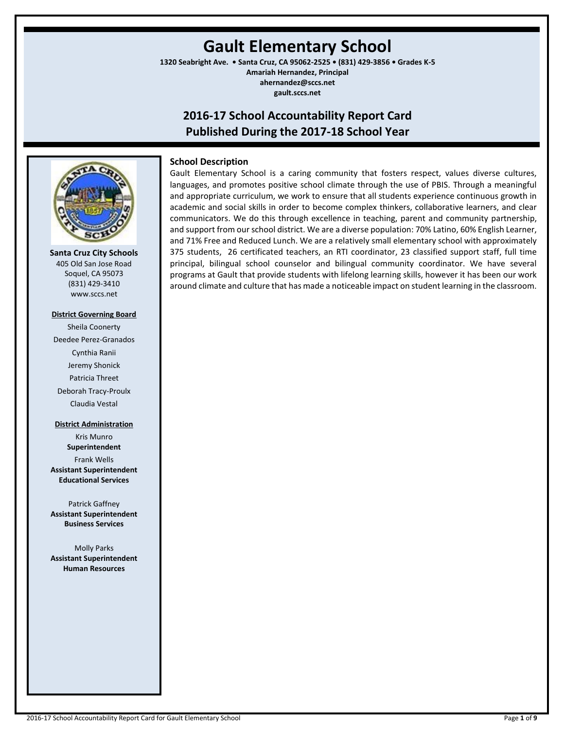# **Gault Elementary School**

**1320 Seabright Ave. • Santa Cruz, CA 95062-2525 • (831) 429-3856 • Grades K-5 Amariah Hernandez, Principal ahernandez@sccs.net**

**gault.sccs.net**

# **2016-17 School Accountability Report Card Published During the 2017-18 School Year**



**Santa Cruz City Schools** 405 Old San Jose Road Soquel, CA 95073 (831) 429-3410 www.sccs.net

#### **District Governing Board**

Sheila Coonerty Deedee Perez-Granados Cynthia Ranii Jeremy Shonick Patricia Threet Deborah Tracy-Proulx Claudia Vestal

#### **District Administration**

Kris Munro **Superintendent** Frank Wells **Assistant Superintendent Educational Services**

Patrick Gaffney **Assistant Superintendent Business Services**

Molly Parks **Assistant Superintendent Human Resources**

# **School Description**

Gault Elementary School is a caring community that fosters respect, values diverse cultures, languages, and promotes positive school climate through the use of PBIS. Through a meaningful and appropriate curriculum, we work to ensure that all students experience continuous growth in academic and social skills in order to become complex thinkers, collaborative learners, and clear communicators. We do this through excellence in teaching, parent and community partnership, and support from our school district. We are a diverse population: 70% Latino, 60% English Learner, and 71% Free and Reduced Lunch. We are a relatively small elementary school with approximately 375 students, 26 certificated teachers, an RTI coordinator, 23 classified support staff, full time principal, bilingual school counselor and bilingual community coordinator. We have several programs at Gault that provide students with lifelong learning skills, however it has been our work around climate and culture that has made a noticeable impact on student learning in the classroom.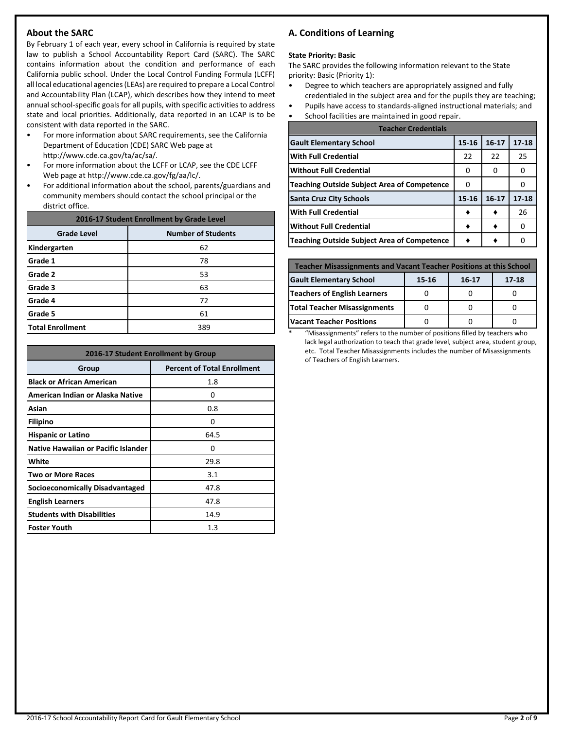# **About the SARC**

By February 1 of each year, every school in California is required by state law to publish a School Accountability Report Card (SARC). The SARC contains information about the condition and performance of each California public school. Under the Local Control Funding Formula (LCFF) all local educational agencies (LEAs) are required to prepare a Local Control and Accountability Plan (LCAP), which describes how they intend to meet annual school-specific goals for all pupils, with specific activities to address state and local priorities. Additionally, data reported in an LCAP is to be consistent with data reported in the SARC.

- For more information about SARC requirements, see the California Department of Education (CDE) SARC Web page at http://www.cde.ca.gov/ta/ac/sa/.
- For more information about the LCFF or LCAP, see the CDE LCFF Web page at http://www.cde.ca.gov/fg/aa/lc/.
- For additional information about the school, parents/guardians and community members should contact the school principal or the district office.

| 2016-17 Student Enrollment by Grade Level |                           |  |  |  |
|-------------------------------------------|---------------------------|--|--|--|
| <b>Grade Level</b>                        | <b>Number of Students</b> |  |  |  |
| Kindergarten                              | 62                        |  |  |  |
| <b>Grade 1</b>                            | 78                        |  |  |  |
| Grade 2                                   | 53                        |  |  |  |
| Grade 3                                   | 63                        |  |  |  |
| Grade 4                                   | 72                        |  |  |  |
| Grade 5                                   | 61                        |  |  |  |
| <b>Total Enrollment</b>                   | 389                       |  |  |  |

| 2016-17 Student Enrollment by Group        |                                    |  |  |  |
|--------------------------------------------|------------------------------------|--|--|--|
| Group                                      | <b>Percent of Total Enrollment</b> |  |  |  |
| <b>Black or African American</b>           | 1.8                                |  |  |  |
| American Indian or Alaska Native           | 0                                  |  |  |  |
| Asian                                      | 0.8                                |  |  |  |
| <b>Filipino</b>                            | 0                                  |  |  |  |
| <b>Hispanic or Latino</b>                  | 64.5                               |  |  |  |
| <b>Native Hawaiian or Pacific Islander</b> | 0                                  |  |  |  |
| White                                      | 29.8                               |  |  |  |
| <b>Two or More Races</b>                   | 3.1                                |  |  |  |
| Socioeconomically Disadvantaged            | 47.8                               |  |  |  |
| <b>English Learners</b>                    | 47.8                               |  |  |  |
| <b>Students with Disabilities</b>          | 14.9                               |  |  |  |
| <b>Foster Youth</b>                        | $1.3\,$                            |  |  |  |

# **A. Conditions of Learning**

#### **State Priority: Basic**

The SARC provides the following information relevant to the State priority: Basic (Priority 1):

- Degree to which teachers are appropriately assigned and fully credentialed in the subject area and for the pupils they are teaching;
- Pupils have access to standards-aligned instructional materials; and
- School facilities are maintained in good repair.

| <b>Teacher Credentials</b>                         |       |           |           |  |  |  |
|----------------------------------------------------|-------|-----------|-----------|--|--|--|
| <b>Gault Elementary School</b>                     | 15-16 | $16 - 17$ | $17 - 18$ |  |  |  |
| <b>With Full Credential</b>                        | 22    | 22        | 25        |  |  |  |
| <b>Without Full Credential</b>                     | O     | O         | O         |  |  |  |
| <b>Teaching Outside Subject Area of Competence</b> | O     |           |           |  |  |  |
| <b>Santa Cruz City Schools</b>                     | 15-16 | $16 - 17$ | $17 - 18$ |  |  |  |
| <b>With Full Credential</b>                        |       |           | 26        |  |  |  |
| <b>Without Full Credential</b>                     |       |           | O         |  |  |  |
| <b>Teaching Outside Subject Area of Competence</b> |       |           |           |  |  |  |

| <b>Teacher Misassignments and Vacant Teacher Positions at this School</b> |  |  |  |  |  |  |  |
|---------------------------------------------------------------------------|--|--|--|--|--|--|--|
| <b>Gault Elementary School</b><br>17-18<br>15-16<br>$16 - 17$             |  |  |  |  |  |  |  |
| Teachers of English Learners                                              |  |  |  |  |  |  |  |
| <b>Total Teacher Misassignments</b>                                       |  |  |  |  |  |  |  |
| <b>Vacant Teacher Positions</b>                                           |  |  |  |  |  |  |  |

\* "Misassignments" refers to the number of positions filled by teachers who lack legal authorization to teach that grade level, subject area, student group, etc. Total Teacher Misassignments includes the number of Misassignments of Teachers of English Learners.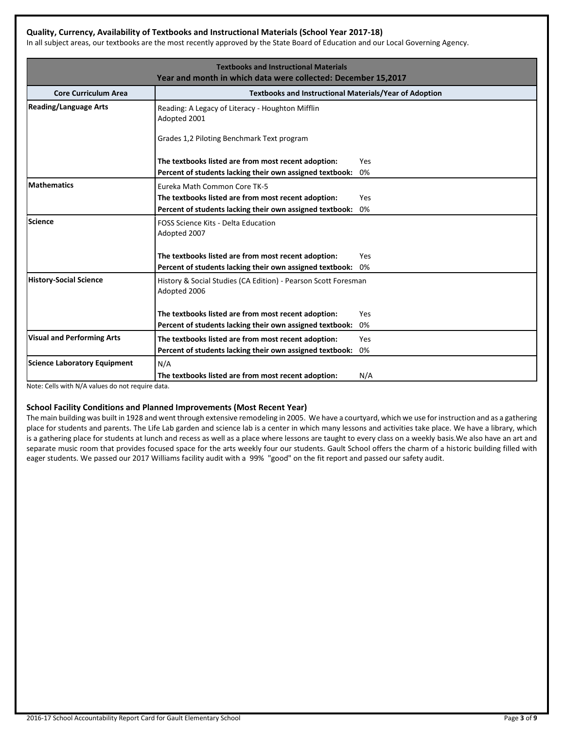# **Quality, Currency, Availability of Textbooks and Instructional Materials (School Year 2017-18)**

In all subject areas, our textbooks are the most recently approved by the State Board of Education and our Local Governing Agency.

|                                   | <b>Textbooks and Instructional Materials</b>                                   |     |
|-----------------------------------|--------------------------------------------------------------------------------|-----|
|                                   | Year and month in which data were collected: December 15,2017                  |     |
| <b>Core Curriculum Area</b>       | <b>Textbooks and Instructional Materials/Year of Adoption</b>                  |     |
| <b>Reading/Language Arts</b>      | Reading: A Legacy of Literacy - Houghton Mifflin<br>Adopted 2001               |     |
|                                   | Grades 1,2 Piloting Benchmark Text program                                     |     |
|                                   | The textbooks listed are from most recent adoption:                            | Yes |
|                                   | Percent of students lacking their own assigned textbook:                       | 0%  |
| <b>Mathematics</b>                | Eureka Math Common Core TK-5                                                   |     |
|                                   | The textbooks listed are from most recent adoption:                            | Yes |
|                                   | Percent of students lacking their own assigned textbook:                       | 0%  |
| Science                           | FOSS Science Kits - Delta Education<br>Adopted 2007                            |     |
|                                   | The textbooks listed are from most recent adoption:                            | Yes |
|                                   | Percent of students lacking their own assigned textbook:                       | 0%  |
| <b>History-Social Science</b>     | History & Social Studies (CA Edition) - Pearson Scott Foresman<br>Adopted 2006 |     |
|                                   | The textbooks listed are from most recent adoption:                            | Yes |
|                                   | Percent of students lacking their own assigned textbook:                       | 0%  |
| <b>Visual and Performing Arts</b> | The textbooks listed are from most recent adoption:                            | Yes |
|                                   | Percent of students lacking their own assigned textbook:                       | 0%  |
| Science Laboratory Equipment      | N/A                                                                            |     |
|                                   | The textbooks listed are from most recent adoption:                            | N/A |

Note: Cells with N/A values do not require data.

# **School Facility Conditions and Planned Improvements (Most Recent Year)**

The main building was built in 1928 and went through extensive remodeling in 2005. We have a courtyard, which we use for instruction and as a gathering place for students and parents. The Life Lab garden and science lab is a center in which many lessons and activities take place. We have a library, which is a gathering place for students at lunch and recess as well as a place where lessons are taught to every class on a weekly basis. We also have an art and separate music room that provides focused space for the arts weekly four our students. Gault School offers the charm of a historic building filled with eager students. We passed our 2017 Williams facility audit with a 99% "good" on the fit report and passed our safety audit.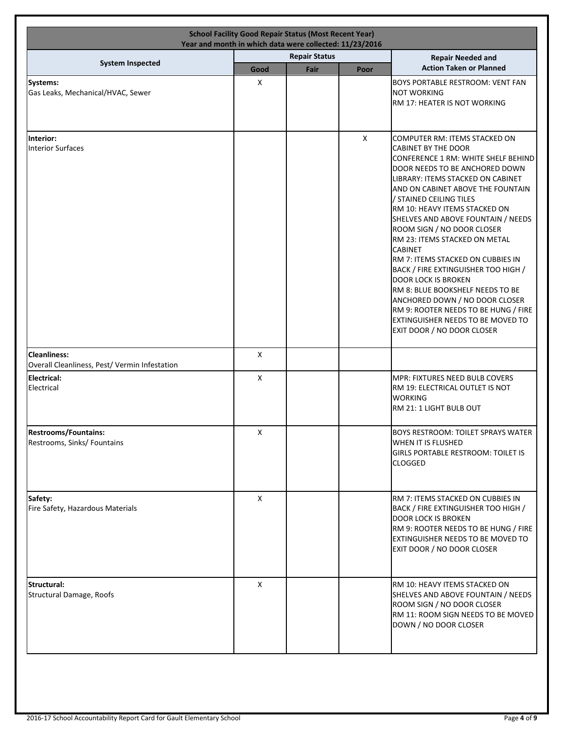|                                                                      | <b>School Facility Good Repair Status (Most Recent Year)</b><br>Year and month in which data were collected: 11/23/2016 |                      |              |                                                                                                                                                                                                                                                                                                                                                                                                                                                                                                                                                                                                                                                                                                     |
|----------------------------------------------------------------------|-------------------------------------------------------------------------------------------------------------------------|----------------------|--------------|-----------------------------------------------------------------------------------------------------------------------------------------------------------------------------------------------------------------------------------------------------------------------------------------------------------------------------------------------------------------------------------------------------------------------------------------------------------------------------------------------------------------------------------------------------------------------------------------------------------------------------------------------------------------------------------------------------|
|                                                                      |                                                                                                                         | <b>Repair Status</b> |              | <b>Repair Needed and</b>                                                                                                                                                                                                                                                                                                                                                                                                                                                                                                                                                                                                                                                                            |
| <b>System Inspected</b>                                              | Good                                                                                                                    | Fair                 | Poor         | <b>Action Taken or Planned</b>                                                                                                                                                                                                                                                                                                                                                                                                                                                                                                                                                                                                                                                                      |
| Systems:<br>Gas Leaks, Mechanical/HVAC, Sewer                        | X                                                                                                                       |                      |              | <b>BOYS PORTABLE RESTROOM: VENT FAN</b><br><b>NOT WORKING</b><br>RM 17: HEATER IS NOT WORKING                                                                                                                                                                                                                                                                                                                                                                                                                                                                                                                                                                                                       |
| Interior:<br><b>Interior Surfaces</b>                                |                                                                                                                         |                      | $\mathsf{X}$ | COMPUTER RM: ITEMS STACKED ON<br><b>CABINET BY THE DOOR</b><br>CONFERENCE 1 RM: WHITE SHELF BEHIND<br>DOOR NEEDS TO BE ANCHORED DOWN<br>LIBRARY: ITEMS STACKED ON CABINET<br>AND ON CABINET ABOVE THE FOUNTAIN<br>/ STAINED CEILING TILES<br>RM 10: HEAVY ITEMS STACKED ON<br>SHELVES AND ABOVE FOUNTAIN / NEEDS<br>ROOM SIGN / NO DOOR CLOSER<br>RM 23: ITEMS STACKED ON METAL<br><b>CABINET</b><br>RM 7: ITEMS STACKED ON CUBBIES IN<br>BACK / FIRE EXTINGUISHER TOO HIGH /<br><b>DOOR LOCK IS BROKEN</b><br>RM 8: BLUE BOOKSHELF NEEDS TO BE<br>ANCHORED DOWN / NO DOOR CLOSER<br>RM 9: ROOTER NEEDS TO BE HUNG / FIRE<br>EXTINGUISHER NEEDS TO BE MOVED TO<br><b>EXIT DOOR / NO DOOR CLOSER</b> |
| <b>Cleanliness:</b><br>Overall Cleanliness, Pest/ Vermin Infestation | X                                                                                                                       |                      |              |                                                                                                                                                                                                                                                                                                                                                                                                                                                                                                                                                                                                                                                                                                     |
| Electrical:<br>Electrical                                            | X                                                                                                                       |                      |              | MPR: FIXTURES NEED BULB COVERS<br>RM 19: ELECTRICAL OUTLET IS NOT<br><b>WORKING</b><br>RM 21: 1 LIGHT BULB OUT                                                                                                                                                                                                                                                                                                                                                                                                                                                                                                                                                                                      |
| <b>Restrooms/Fountains:</b><br>Restrooms, Sinks/ Fountains           | $\mathsf X$                                                                                                             |                      |              | <b>BOYS RESTROOM: TOILET SPRAYS WATER</b><br>WHEN IT IS FLUSHED<br><b>GIRLS PORTABLE RESTROOM: TOILET IS</b><br><b>CLOGGED</b>                                                                                                                                                                                                                                                                                                                                                                                                                                                                                                                                                                      |
| Safety:<br>Fire Safety, Hazardous Materials                          | X                                                                                                                       |                      |              | RM 7: ITEMS STACKED ON CUBBIES IN<br>BACK / FIRE EXTINGUISHER TOO HIGH /<br><b>DOOR LOCK IS BROKEN</b><br>RM 9: ROOTER NEEDS TO BE HUNG / FIRE<br>EXTINGUISHER NEEDS TO BE MOVED TO<br>EXIT DOOR / NO DOOR CLOSER                                                                                                                                                                                                                                                                                                                                                                                                                                                                                   |
| Structural:<br>Structural Damage, Roofs                              | X                                                                                                                       |                      |              | RM 10: HEAVY ITEMS STACKED ON<br>SHELVES AND ABOVE FOUNTAIN / NEEDS<br>ROOM SIGN / NO DOOR CLOSER<br>RM 11: ROOM SIGN NEEDS TO BE MOVED<br>DOWN / NO DOOR CLOSER                                                                                                                                                                                                                                                                                                                                                                                                                                                                                                                                    |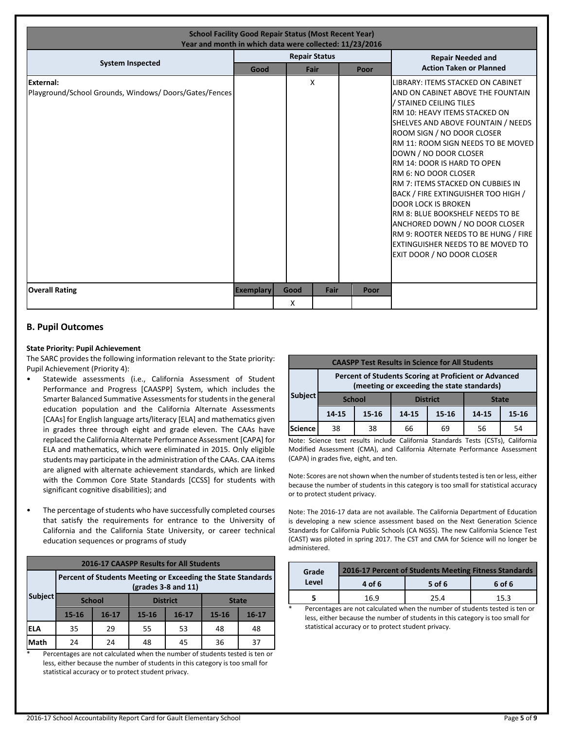| <b>School Facility Good Repair Status (Most Recent Year)</b><br>Year and month in which data were collected: 11/23/2016 |                      |      |                                |  |      |                                                                                                                                                                                                                                                                                                                                                                                                                                                                                                                                                                                                                                               |  |
|-------------------------------------------------------------------------------------------------------------------------|----------------------|------|--------------------------------|--|------|-----------------------------------------------------------------------------------------------------------------------------------------------------------------------------------------------------------------------------------------------------------------------------------------------------------------------------------------------------------------------------------------------------------------------------------------------------------------------------------------------------------------------------------------------------------------------------------------------------------------------------------------------|--|
| <b>System Inspected</b>                                                                                                 |                      |      | <b>Repair Status</b>           |  |      | <b>Repair Needed and</b>                                                                                                                                                                                                                                                                                                                                                                                                                                                                                                                                                                                                                      |  |
|                                                                                                                         | Good<br>Fair<br>Poor |      | <b>Action Taken or Planned</b> |  |      |                                                                                                                                                                                                                                                                                                                                                                                                                                                                                                                                                                                                                                               |  |
| <b>External:</b><br>Playground/School Grounds, Windows/Doors/Gates/Fences                                               |                      |      | X                              |  |      | LIBRARY: ITEMS STACKED ON CABINET<br>AND ON CABINET ABOVE THE FOUNTAIN<br>/ STAINED CEILING TILES<br>RM 10: HEAVY ITEMS STACKED ON<br>SHELVES AND ABOVE FOUNTAIN / NEEDS<br>ROOM SIGN / NO DOOR CLOSER<br>RM 11: ROOM SIGN NEEDS TO BE MOVED<br>DOWN / NO DOOR CLOSER<br>RM 14: DOOR IS HARD TO OPEN<br><b>RM 6: NO DOOR CLOSER</b><br>RM 7: ITEMS STACKED ON CUBBIES IN<br><b>BACK / FIRE EXTINGUISHER TOO HIGH /</b><br><b>DOOR LOCK IS BROKEN</b><br><b>IRM 8: BLUE BOOKSHELF NEEDS TO BE</b><br>ANCHORED DOWN / NO DOOR CLOSER<br>RM 9: ROOTER NEEDS TO BE HUNG / FIRE<br>EXTINGUISHER NEEDS TO BE MOVED TO<br>EXIT DOOR / NO DOOR CLOSER |  |
| <b>Overall Rating</b>                                                                                                   | Exemplary            | Good | Fair                           |  | Poor |                                                                                                                                                                                                                                                                                                                                                                                                                                                                                                                                                                                                                                               |  |
|                                                                                                                         |                      | X    |                                |  |      |                                                                                                                                                                                                                                                                                                                                                                                                                                                                                                                                                                                                                                               |  |

# **B. Pupil Outcomes**

# **State Priority: Pupil Achievement**

The SARC provides the following information relevant to the State priority: Pupil Achievement (Priority 4):

- Statewide assessments (i.e., California Assessment of Student Performance and Progress [CAASPP] System, which includes the Smarter Balanced Summative Assessments for students in the general education population and the California Alternate Assessments [CAAs] for English language arts/literacy [ELA] and mathematics given in grades three through eight and grade eleven. The CAAs have replaced the California Alternate Performance Assessment [CAPA] for ELA and mathematics, which were eliminated in 2015. Only eligible students may participate in the administration of the CAAs. CAA items are aligned with alternate achievement standards, which are linked with the Common Core State Standards [CCSS] for students with significant cognitive disabilities); and
- The percentage of students who have successfully completed courses that satisfy the requirements for entrance to the University of California and the California State University, or career technical education sequences or programs of study

| 2016-17 CAASPP Results for All Students |                                                                                                                    |           |                 |           |              |           |  |  |
|-----------------------------------------|--------------------------------------------------------------------------------------------------------------------|-----------|-----------------|-----------|--------------|-----------|--|--|
|                                         | Percent of Students Meeting or Exceeding the State Standards<br>$\left(\frac{\text{grades}}{3} - 8\right)$ and 11) |           |                 |           |              |           |  |  |
| <b>Subject</b>                          | <b>School</b>                                                                                                      |           | <b>District</b> |           | <b>State</b> |           |  |  |
|                                         | $15 - 16$                                                                                                          | $16 - 17$ | $15 - 16$       | $16 - 17$ | $15 - 16$    | $16 - 17$ |  |  |
| <b>ELA</b>                              | 35                                                                                                                 | 29        | 55<br>53        |           | 48           | 48        |  |  |
| Math                                    | 24                                                                                                                 | 24        | 48              | 45        | 36           | 37        |  |  |

Percentages are not calculated when the number of students tested is ten or less, either because the number of students in this category is too small for statistical accuracy or to protect student privacy.

| <b>CAASPP Test Results in Science for All Students</b>                                              |                                                            |  |  |                                                                                                                                                                                                                                                                                                                   |  |  |  |
|-----------------------------------------------------------------------------------------------------|------------------------------------------------------------|--|--|-------------------------------------------------------------------------------------------------------------------------------------------------------------------------------------------------------------------------------------------------------------------------------------------------------------------|--|--|--|
| Percent of Students Scoring at Proficient or Advanced<br>(meeting or exceeding the state standards) |                                                            |  |  |                                                                                                                                                                                                                                                                                                                   |  |  |  |
| <b>Subject</b>                                                                                      | <b>District</b><br><b>School</b><br><b>State</b>           |  |  |                                                                                                                                                                                                                                                                                                                   |  |  |  |
|                                                                                                     | 14-15<br>14-15<br>$15 - 16$<br>15-16<br>14-15<br>$15 - 16$ |  |  |                                                                                                                                                                                                                                                                                                                   |  |  |  |
| <b>Science</b><br>38<br>38<br>66<br>56<br>69<br>54                                                  |                                                            |  |  |                                                                                                                                                                                                                                                                                                                   |  |  |  |
|                                                                                                     |                                                            |  |  | $\mathbf{M}$ and $\mathbf{C}$ are $\mathbf{M}$ and $\mathbf{M}$ are $\mathbf{M}$ and $\mathbf{C}$ . The $\mathbf{C}$ are $\mathbf{M}$ and $\mathbf{C}$ and $\mathbf{C}$ $\mathbf{C}$ $\mathbf{C}$ $\mathbf{C}$ $\mathbf{C}$ $\mathbf{C}$ $\mathbf{C}$ $\mathbf{C}$ $\mathbf{C}$ $\mathbf{C}$ $\mathbf{C}$ $\math$ |  |  |  |

Note: Science test results include California Standards Tests (CSTs), California Modified Assessment (CMA), and California Alternate Performance Assessment (CAPA) in grades five, eight, and ten.

Note: Scores are not shown when the number of students tested is ten or less, either because the number of students in this category is too small for statistical accuracy or to protect student privacy.

Note: The 2016-17 data are not available. The California Department of Education is developing a new science assessment based on the Next Generation Science Standards for California Public Schools (CA NGSS). The new California Science Test (CAST) was piloted in spring 2017. The CST and CMA for Science will no longer be administered.

| Grade | 2016-17 Percent of Students Meeting Fitness Standards<br>5 of 6<br>6 of 6<br>4 of 6 |      |      |  |  |  |  |
|-------|-------------------------------------------------------------------------------------|------|------|--|--|--|--|
| Level |                                                                                     |      |      |  |  |  |  |
|       | 16.9                                                                                | 25.4 | 15.3 |  |  |  |  |

Percentages are not calculated when the number of students tested is ten or less, either because the number of students in this category is too small for statistical accuracy or to protect student privacy.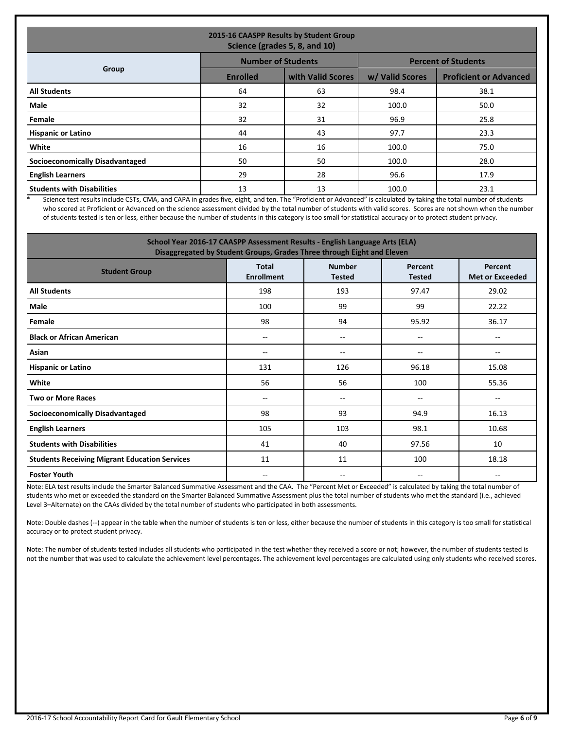| 2015-16 CAASPP Results by Student Group<br>Science (grades 5, 8, and 10) |                 |                           |                 |                               |  |  |  |
|--------------------------------------------------------------------------|-----------------|---------------------------|-----------------|-------------------------------|--|--|--|
|                                                                          |                 | <b>Number of Students</b> |                 | <b>Percent of Students</b>    |  |  |  |
| Group                                                                    | <b>Enrolled</b> | with Valid Scores         | w/ Valid Scores | <b>Proficient or Advanced</b> |  |  |  |
| <b>All Students</b>                                                      | 64              | 63                        | 98.4            | 38.1                          |  |  |  |
| Male                                                                     | 32              | 32                        | 100.0           | 50.0                          |  |  |  |
| Female                                                                   | 32              | 31                        | 96.9            | 25.8                          |  |  |  |
| <b>Hispanic or Latino</b>                                                | 44              | 43                        | 97.7            | 23.3                          |  |  |  |
| <b>White</b>                                                             | 16              | 16                        | 100.0           | 75.0                          |  |  |  |
| Socioeconomically Disadvantaged                                          | 50              | 50                        | 100.0           | 28.0                          |  |  |  |
| <b>English Learners</b>                                                  | 29              | 28                        | 96.6            | 17.9                          |  |  |  |
| <b>Students with Disabilities</b>                                        | 13              | 13                        | 100.0           | 23.1                          |  |  |  |

\* Science test results include CSTs, CMA, and CAPA in grades five, eight, and ten. The "Proficient or Advanced" is calculated by taking the total number of students who scored at Proficient or Advanced on the science assessment divided by the total number of students with valid scores. Scores are not shown when the number of students tested is ten or less, either because the number of students in this category is too small for statistical accuracy or to protect student privacy.

| School Year 2016-17 CAASPP Assessment Results - English Language Arts (ELA)<br>Disaggregated by Student Groups, Grades Three through Eight and Eleven |                                   |                                |                          |                                   |  |  |
|-------------------------------------------------------------------------------------------------------------------------------------------------------|-----------------------------------|--------------------------------|--------------------------|-----------------------------------|--|--|
| <b>Student Group</b>                                                                                                                                  | <b>Total</b><br><b>Enrollment</b> | <b>Number</b><br><b>Tested</b> | Percent<br><b>Tested</b> | Percent<br><b>Met or Exceeded</b> |  |  |
| <b>All Students</b>                                                                                                                                   | 198                               | 193                            | 97.47                    | 29.02                             |  |  |
| Male                                                                                                                                                  | 100                               | 99                             | 99                       | 22.22                             |  |  |
| Female                                                                                                                                                | 98                                | 94                             | 95.92                    | 36.17                             |  |  |
| <b>Black or African American</b>                                                                                                                      | $\overline{\phantom{a}}$          | $-$                            | --                       |                                   |  |  |
| Asian                                                                                                                                                 | $\overline{\phantom{a}}$          | $-$                            | --                       | $-$                               |  |  |
| <b>Hispanic or Latino</b>                                                                                                                             | 131                               | 126                            | 96.18                    | 15.08                             |  |  |
| White                                                                                                                                                 | 56                                | 56                             | 100                      | 55.36                             |  |  |
| <b>Two or More Races</b>                                                                                                                              | --                                | --                             | --                       | --                                |  |  |
| <b>Socioeconomically Disadvantaged</b>                                                                                                                | 98                                | 93                             | 94.9                     | 16.13                             |  |  |
| <b>English Learners</b>                                                                                                                               | 105                               | 103                            | 98.1                     | 10.68                             |  |  |
| <b>Students with Disabilities</b>                                                                                                                     | 41                                | 40                             | 97.56                    | 10                                |  |  |
| <b>Students Receiving Migrant Education Services</b>                                                                                                  | 11                                | 11                             | 100                      | 18.18                             |  |  |
| <b>Foster Youth</b>                                                                                                                                   | $\overline{\phantom{a}}$          | $\overline{\phantom{a}}$       | $- -$                    | --                                |  |  |

Note: ELA test results include the Smarter Balanced Summative Assessment and the CAA. The "Percent Met or Exceeded" is calculated by taking the total number of students who met or exceeded the standard on the Smarter Balanced Summative Assessment plus the total number of students who met the standard (i.e., achieved Level 3–Alternate) on the CAAs divided by the total number of students who participated in both assessments.

Note: Double dashes (--) appear in the table when the number of students is ten or less, either because the number of students in this category is too small for statistical accuracy or to protect student privacy.

Note: The number of students tested includes all students who participated in the test whether they received a score or not; however, the number of students tested is not the number that was used to calculate the achievement level percentages. The achievement level percentages are calculated using only students who received scores.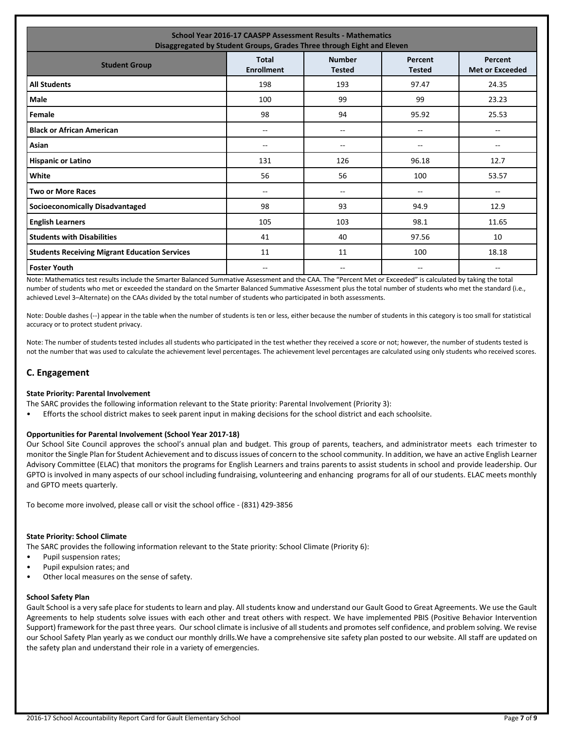| <b>School Year 2016-17 CAASPP Assessment Results - Mathematics</b><br>Disaggregated by Student Groups, Grades Three through Eight and Eleven                 |     |       |                          |                          |  |  |  |  |
|--------------------------------------------------------------------------------------------------------------------------------------------------------------|-----|-------|--------------------------|--------------------------|--|--|--|--|
| <b>Number</b><br><b>Total</b><br>Percent<br>Percent<br><b>Student Group</b><br><b>Enrollment</b><br><b>Tested</b><br><b>Met or Exceeded</b><br><b>Tested</b> |     |       |                          |                          |  |  |  |  |
| <b>All Students</b>                                                                                                                                          | 198 | 193   | 97.47                    | 24.35                    |  |  |  |  |
| Male                                                                                                                                                         | 100 | 99    | 99                       | 23.23                    |  |  |  |  |
| Female                                                                                                                                                       | 98  | 94    | 95.92                    | 25.53                    |  |  |  |  |
| <b>Black or African American</b>                                                                                                                             | --  | --    | --                       | $\overline{\phantom{a}}$ |  |  |  |  |
| Asian                                                                                                                                                        | --  | --    | --                       | $\overline{\phantom{a}}$ |  |  |  |  |
| <b>Hispanic or Latino</b>                                                                                                                                    | 131 | 126   | 96.18                    | 12.7                     |  |  |  |  |
| White                                                                                                                                                        | 56  | 56    | 100                      | 53.57                    |  |  |  |  |
| <b>Two or More Races</b>                                                                                                                                     | $-$ | $- -$ | $\overline{\phantom{a}}$ | $- -$                    |  |  |  |  |
| <b>Socioeconomically Disadvantaged</b>                                                                                                                       | 98  | 93    | 94.9                     | 12.9                     |  |  |  |  |
| <b>English Learners</b>                                                                                                                                      | 105 | 103   | 98.1                     | 11.65                    |  |  |  |  |
| <b>Students with Disabilities</b>                                                                                                                            | 41  | 40    | 97.56                    | 10                       |  |  |  |  |
| <b>Students Receiving Migrant Education Services</b>                                                                                                         | 11  | 11    | 100                      | 18.18                    |  |  |  |  |
| <b>Foster Youth</b>                                                                                                                                          | $-$ | --    | --                       | $- -$                    |  |  |  |  |

Note: Mathematics test results include the Smarter Balanced Summative Assessment and the CAA. The "Percent Met or Exceeded" is calculated by taking the total number of students who met or exceeded the standard on the Smarter Balanced Summative Assessment plus the total number of students who met the standard (i.e., achieved Level 3–Alternate) on the CAAs divided by the total number of students who participated in both assessments.

Note: Double dashes (--) appear in the table when the number of students is ten or less, either because the number of students in this category is too small for statistical accuracy or to protect student privacy.

Note: The number of students tested includes all students who participated in the test whether they received a score or not; however, the number of students tested is not the number that was used to calculate the achievement level percentages. The achievement level percentages are calculated using only students who received scores.

# **C. Engagement**

# **State Priority: Parental Involvement**

The SARC provides the following information relevant to the State priority: Parental Involvement (Priority 3):

• Efforts the school district makes to seek parent input in making decisions for the school district and each schoolsite.

#### **Opportunities for Parental Involvement (School Year 2017-18)**

Our School Site Council approves the school's annual plan and budget. This group of parents, teachers, and administrator meets each trimester to monitor the Single Plan for Student Achievement and to discuss issues of concern to the school community. In addition, we have an active English Learner Advisory Committee (ELAC) that monitors the programs for English Learners and trains parents to assist students in school and provide leadership. Our GPTO is involved in many aspects of our school including fundraising, volunteering and enhancing programs for all of our students. ELAC meets monthly and GPTO meets quarterly.

To become more involved, please call or visit the school office - (831) 429-3856

#### **State Priority: School Climate**

The SARC provides the following information relevant to the State priority: School Climate (Priority 6):

- Pupil suspension rates;
- Pupil expulsion rates; and
- Other local measures on the sense of safety.

#### **School Safety Plan**

Gault School is a very safe place for students to learn and play. All students know and understand our Gault Good to Great Agreements. We use the Gault Agreements to help students solve issues with each other and treat others with respect. We have implemented PBIS (Positive Behavior Intervention Support) framework for the past three years. Our school climate is inclusive of all students and promotes self confidence, and problem solving. We revise our School Safety Plan yearly as we conduct our monthly drills.We have a comprehensive site safety plan posted to our website. All staff are updated on the safety plan and understand their role in a variety of emergencies.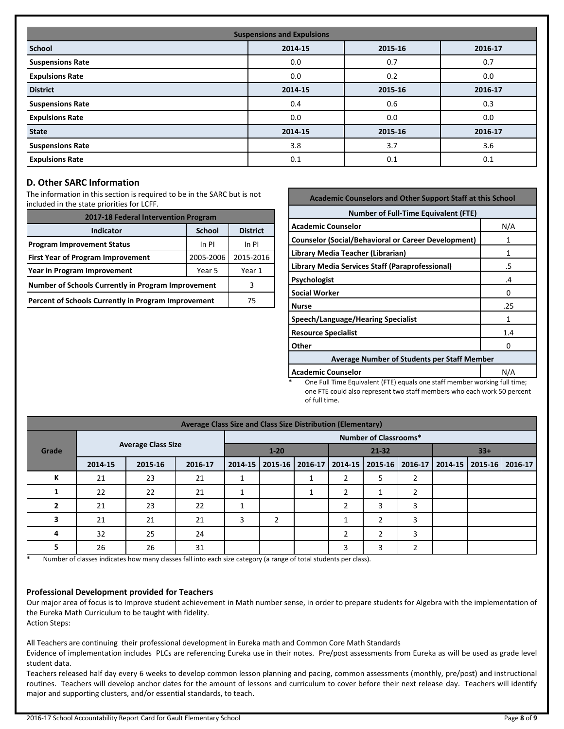| <b>Suspensions and Expulsions</b> |         |         |         |  |  |  |
|-----------------------------------|---------|---------|---------|--|--|--|
| <b>School</b>                     | 2014-15 | 2015-16 | 2016-17 |  |  |  |
| <b>Suspensions Rate</b>           | 0.0     | 0.7     | 0.7     |  |  |  |
| <b>Expulsions Rate</b>            | 0.0     | 0.2     | 0.0     |  |  |  |
| <b>District</b>                   | 2014-15 | 2015-16 | 2016-17 |  |  |  |
| <b>Suspensions Rate</b>           | 0.4     | 0.6     | 0.3     |  |  |  |
| <b>Expulsions Rate</b>            | 0.0     | 0.0     | 0.0     |  |  |  |
| <b>State</b>                      | 2014-15 | 2015-16 | 2016-17 |  |  |  |
| <b>Suspensions Rate</b>           | 3.8     | 3.7     | 3.6     |  |  |  |
| <b>Expulsions Rate</b>            | 0.1     | 0.1     | 0.1     |  |  |  |

# **D. Other SARC Information**

The information in this section is required to be in the SARC but is not included in the state priorities for LCFF.

| 2017-18 Federal Intervention Program                |                 |           |  |  |  |
|-----------------------------------------------------|-----------------|-----------|--|--|--|
| <b>Indicator</b>                                    | <b>District</b> |           |  |  |  |
| <b>Program Improvement Status</b>                   | In PI           | In PI     |  |  |  |
| <b>First Year of Program Improvement</b>            | 2005-2006       | 2015-2016 |  |  |  |
| Year in Program Improvement                         | Year 1          |           |  |  |  |
| Number of Schools Currently in Program Improvement  | 3               |           |  |  |  |
| Percent of Schools Currently in Program Improvement | 75              |           |  |  |  |

| <b>Academic Counselors and Other Support Staff at this School</b>                                                                               |     |  |  |  |  |
|-------------------------------------------------------------------------------------------------------------------------------------------------|-----|--|--|--|--|
| <b>Number of Full-Time Equivalent (FTE)</b>                                                                                                     |     |  |  |  |  |
| <b>Academic Counselor</b>                                                                                                                       | N/A |  |  |  |  |
| <b>Counselor (Social/Behavioral or Career Development)</b>                                                                                      | 1   |  |  |  |  |
| Library Media Teacher (Librarian)                                                                                                               | 1   |  |  |  |  |
| Library Media Services Staff (Paraprofessional)                                                                                                 | .5  |  |  |  |  |
| <b>Psychologist</b>                                                                                                                             | .4  |  |  |  |  |
| <b>Social Worker</b>                                                                                                                            | O   |  |  |  |  |
| <b>Nurse</b>                                                                                                                                    | .25 |  |  |  |  |
| Speech/Language/Hearing Specialist                                                                                                              | 1   |  |  |  |  |
| <b>Resource Specialist</b>                                                                                                                      | 1.4 |  |  |  |  |
| Other                                                                                                                                           | o   |  |  |  |  |
| <b>Average Number of Students per Staff Member</b>                                                                                              |     |  |  |  |  |
| N/A<br><b>Academic Counselor</b><br>$\alpha$ . $\alpha$ is the state of the state of $\alpha$ is the state of $\alpha$ is the state of $\alpha$ |     |  |  |  |  |

One Full Time Equivalent (FTE) equals one staff member working full time; one FTE could also represent two staff members who each work 50 percent of full time.

| Average Class Size and Class Size Distribution (Elementary) |         |                           |         |                              |   |                   |                |   |       |  |                                                           |  |
|-------------------------------------------------------------|---------|---------------------------|---------|------------------------------|---|-------------------|----------------|---|-------|--|-----------------------------------------------------------|--|
|                                                             |         |                           |         | <b>Number of Classrooms*</b> |   |                   |                |   |       |  |                                                           |  |
| Grade                                                       |         | <b>Average Class Size</b> |         | $1 - 20$                     |   |                   | $21 - 32$      |   | $33+$ |  |                                                           |  |
|                                                             | 2014-15 | 2015-16                   | 2016-17 | $2014 - 15$                  |   | 2015-16   2016-17 |                |   |       |  | 2014-15   2015-16   2016-17   2014-15   2015-16   2016-17 |  |
| К                                                           | 21      | 23                        | 21      |                              |   |                   | $\overline{2}$ | 5 |       |  |                                                           |  |
|                                                             | 22      | 22                        | 21      |                              |   | ᅩ                 | 2              |   |       |  |                                                           |  |
| 2                                                           | 21      | 23                        | 22      | ٠                            |   |                   | ຳ              | 3 | 3     |  |                                                           |  |
| 3                                                           | 21      | 21                        | 21      | 3                            | 2 |                   |                | 2 | 3     |  |                                                           |  |
| 4                                                           | 32      | 25                        | 24      |                              |   |                   | っ              | 2 | 3     |  |                                                           |  |
| 5                                                           | 26      | 26                        | 31      |                              |   |                   | 3              | 3 |       |  |                                                           |  |

Number of classes indicates how many classes fall into each size category (a range of total students per class).

#### **Professional Development provided for Teachers**

Our major area of focus is to Improve student achievement in Math number sense, in order to prepare students for Algebra with the implementation of the Eureka Math Curriculum to be taught with fidelity. Action Steps:

All Teachers are continuing their professional development in Eureka math and Common Core Math Standards

Evidence of implementation includes PLCs are referencing Eureka use in their notes. Pre/post assessments from Eureka as will be used as grade level student data.

Teachers released half day every 6 weeks to develop common lesson planning and pacing, common assessments (monthly, pre/post) and instructional routines. Teachers will develop anchor dates for the amount of lessons and curriculum to cover before their next release day. Teachers will identify major and supporting clusters, and/or essential standards, to teach.